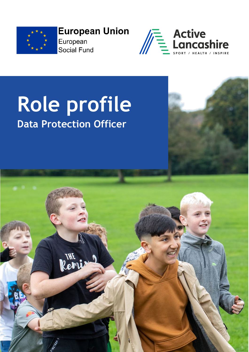

**European Union** European **Social Fund** 



# **Role profile Data Protection Officer**

Reni

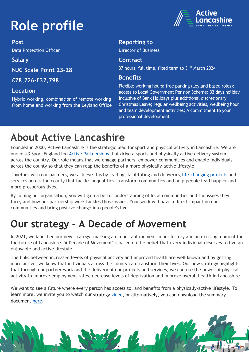# **Role profile**

**Post**  Data Protection Officer

**Salary**

**NJC Scale Point 23-28** 

**£28,226-£32,798**

#### **Location**

Hybrid working, combination of remote working from home and working from the Leyland Office



#### **Reporting to**

Director of Business

#### **Contract**

37 hours, full time, fixed term to 31<sup>st</sup> March 2024

#### **Benefits**

Flexible working hours; free parking (Leyland based roles); access to Local Government Pension Scheme; 33 days holiday inclusive of Bank Holidays plus additional discretionary Christmas Leave; regular wellbeing activities, wellbeing hour and team development activities; A commitment to your professional development

# **About Active Lancashire**

Founded in 2000, Active Lancashire is the strategic lead for sport and physical activity in Lancashire. We are one of 43 Sport England led **Active Partnerships** that drive a sports and physically active delivery system across the country. Our role means that we engage partners, empower communities and enable individuals across the county so that they can reap the benefits of a more physically-active lifestyle.

Together with our partners, we achieve this by leading, facilitating and delivering [life-changing projects](https://www.activelancashire.org.uk/projects) and services across the county that tackle inequalities, transform communities and help people lead happier and more prosperous lives.

By joining our organisation, you will gain a better understanding of local communities and the issues they face, and how our partnership work tackles those issues. Your work will have a direct impact on our communities and bring positive change into people's lives.

### **Our strategy – A Decade of Movement**

In 2021, we launched our new strategy, marking an important moment in our history and an exciting moment for the future of Lancashire. 'A Decade of Movement' is based on the belief that every individual deserves to live an enjoyable and active lifestyle.

The links between increased levels of physical activity and improved health are well known and by getting more active, we know that individuals across the county can transform their lives. Our new strategy highlights that through our partner work and the delivery of our projects and services, we can use the power of physical activity to improve employment rates, decrease levels of deprivation and improve overall health in Lancashire.

We want to see a future where every person has access to, and benefits from a physically-active lifestyle. To learn more, we invite you to watch our strategy [video,](https://youtu.be/DZH4nA8wkc4) or alternatively, you can download the summary document [here.](https://www.activelancashire.org.uk/assets/uploads/downloads/AL-digital%20only.pdf)

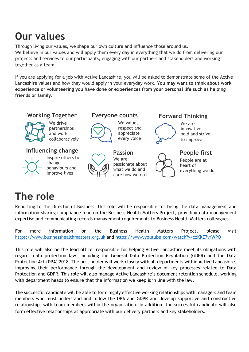### **Our values**

Through living our values, we shape our own culture and influence those around us. We believe in our values and will apply them every day in everything that we do from delivering our projects and services to our participants, engaging with our partners and stakeholders and working together as a team.

If you are applying for a job with Active Lancashire, you will be asked to demonstrate some of the Active Lancashire values and how they would apply in your everyday work. **You may want to think about work experience or volunteering you have done or experiences from your personal life such as helping friends or family.**



## **The role**

Reporting to the Director of Business, this role will be responsible for being the data management and information sharing compliance lead on the Business Health Matters Project, providing data management expertise and communicating records management requirements to Business Health Matters colleagues.

For more information on the Business Health Matters Project, please visit [https://www.businesshealthmatters.org.uk](https://www.businesshealthmatters.org.uk/) and<https://www.youtube.com/watch?v=czKKE7vrWPQ>

This role will also be the lead officer responsible for helping Active Lancashire meet its obligations with regards data protection law, including the General Data Protection Regulation (GDPR) and the Data Protection Act (DPA) 2018. The post holder will work closely with all departments within Active Lancashire, improving their performance through the development and review of key processes related to Data Protection and GDPR. This role will also manage Active Lancashire's document retention schedule, working with department heads to ensure that the information we keep is in line with the law.

The successful candidate will be able to form highly effective working relationships with managers and team members who must understand and follow the DPA and GDPR and develop supportive and constructive relationships with team members within the organisation. In addition, the successful candidate will also form effective relationships as appropriate with our delivery partners and key stakeholders.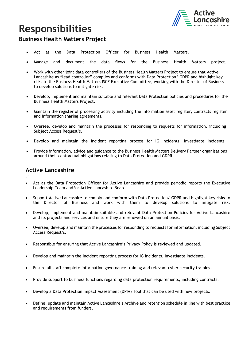

### **Responsibilities**

#### **Business Health Matters Project**

- Act as the Data Protection Officer for Business Health Matters.
- Manage and document the data flows for the Business Health Matters project.
- Work with other joint data controllers of the Business Health Matters Project to ensure that Active Lancashire as "lead controller" complies and conforms with Data Protection/ GDPR and highlight key risks to the Business Health Matters ISCF Executive Committee, working with the Director of Business to develop solutions to mitigate risk.
- Develop, implement and maintain suitable and relevant Data Protection policies and procedures for the Business Health Matters Project.
- Maintain the register of processing activity including the information asset register, contracts register and information sharing agreements.
- Oversee, develop and maintain the processes for responding to requests for information, including Subject Access Request's.
- Develop and maintain the incident reporting process for IG Incidents. Investigate incidents.
- Provide information, advice and guidance to the Business Health Matters Delivery Partner organisations around their contractual obligations relating to Data Protection and GDPR.

#### **Active Lancashire**

- Act as the Data Protection Officer for Active Lancashire and provide periodic reports the Executive Leadership Team and/or Active Lancashire Board.
- Support Active Lancashire to comply and conform with Data Protection/ GDPR and highlight key risks to the Director of Business and work with them to develop solutions to mitigate risk.
- Develop, implement and maintain suitable and relevant Data Protection Policies for Active Lancashire and its projects and services and ensure they are renewed on an annual basis.
- Oversee, develop and maintain the processes for responding to requests for information, including Subject Access Request's.
- Responsible for ensuring that Active Lancashire's Privacy Policy is reviewed and updated.
- Develop and maintain the incident reporting process for IG Incidents. Investigate incidents.
- Ensure all staff complete information governance training and relevant cyber security training.
- Provide support to business functions regarding data protection requirements, including contracts.
- Develop a Data Protection Impact Assessment (DPIA) Tool that can be used with new projects.
- Define, update and maintain Active Lancashire's Archive and retention schedule in line with best practice and requirements from funders.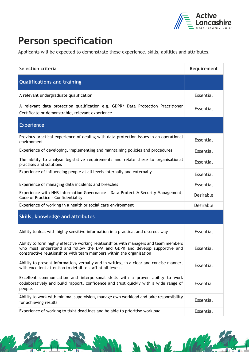

W.

 $\sqrt{2}$ 

### **Person specification**

Applicants will be expected to demonstrate these experience, skills, abilities and attributes.

| Selection criteria                                                                                                                                                                                                                          | Requirement      |
|---------------------------------------------------------------------------------------------------------------------------------------------------------------------------------------------------------------------------------------------|------------------|
| <b>Qualifications and training</b>                                                                                                                                                                                                          |                  |
| A relevant undergraduate qualification                                                                                                                                                                                                      | Essential        |
| A relevant data protection qualification e.g. GDPR/ Data Protection Practitioner<br>Certificate or demonstrable, relevant experience                                                                                                        | <b>Essential</b> |
| <b>Experience</b>                                                                                                                                                                                                                           |                  |
| Previous practical experience of dealing with data protection issues in an operational<br>environment                                                                                                                                       | <b>Essential</b> |
| Experience of developing, implementing and maintaining policies and procedures                                                                                                                                                              | Essential        |
| The ability to analyse legislative requirements and relate these to organisational<br>practises and solutions                                                                                                                               | Essential        |
| Experience of influencing people at all levels internally and externally                                                                                                                                                                    | Essential        |
| Experience of managing data incidents and breaches                                                                                                                                                                                          | Essential        |
| Experience with NHS Information Governance - Data Protect & Security Management,<br>Code of Practice - Confidentiality                                                                                                                      | Desirable        |
| Experience of working in a health or social care environment                                                                                                                                                                                | Desirable        |
| Skills, knowledge and attributes                                                                                                                                                                                                            |                  |
| Ability to deal with highly sensitive information in a practical and discreet way                                                                                                                                                           | <b>Essential</b> |
| Ability to form highly effective working relationships with managers and team members<br>who must understand and follow the DPA and GDPR and develop supportive and<br>constructive relationships with team members within the organisation | <b>Essential</b> |
| Ability to present information, verbally and in writing, in a clear and concise manner,<br>with excellent attention to detail to staff at all levels.                                                                                       | <b>Essential</b> |
| Excellent communication and interpersonal skills with a proven ability to work<br>collaboratively and build rapport, confidence and trust quickly with a wide range of<br>people.                                                           | Essential        |
| Ability to work with minimal supervision, manage own workload and take responsibility<br>for achieving results                                                                                                                              | Essential        |
| Experience of working to tight deadlines and be able to prioritise workload                                                                                                                                                                 | <b>Essential</b> |